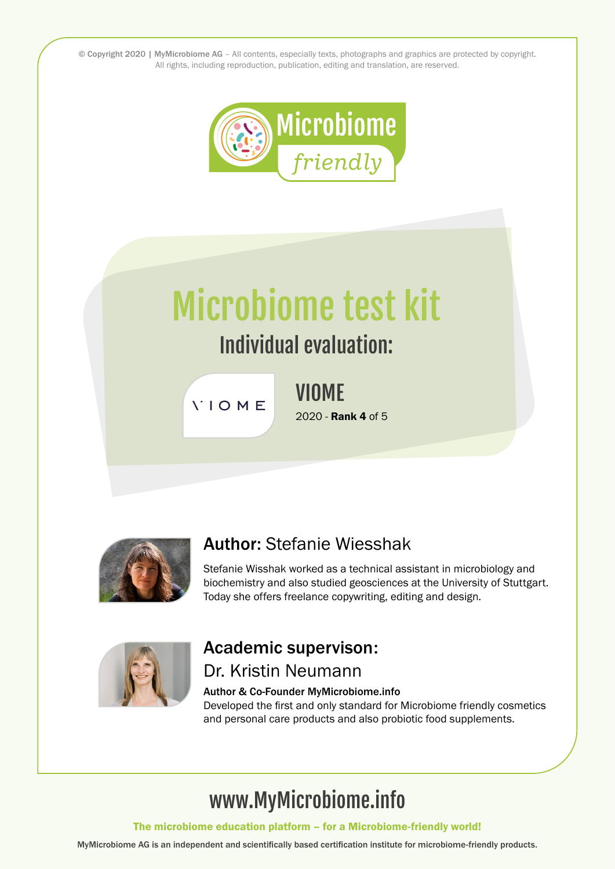© Copyright 2020 | MyMicrobiome AG – All contents, especially texts, photographs and graphics are protected by copyright. All rights, including reproduction, publication, editing and translation, are reserved.



# Microbiome test kit

# Individual evaluation:

**VIOME** 

VIOME 2020 - Rank 4 of 5



### Author: Stefanie Wiesshak

Stefanie Wisshak worked as a technical assistant in microbiology and biochemistry and also studied geosciences at the University of Stuttgart. Today she offers freelance copywriting, editing and design.



#### Academic supervison: Dr. Kristin Neumann

#### Author & Co-Founder MyMicrobiome.info

Developed the first and only standard for Microbiome friendly cosmetics and personal care products and also probiotic food supplements.

# www.MyMicrobiome.info

The microbiome education platform – for a Microbiome-friendly world!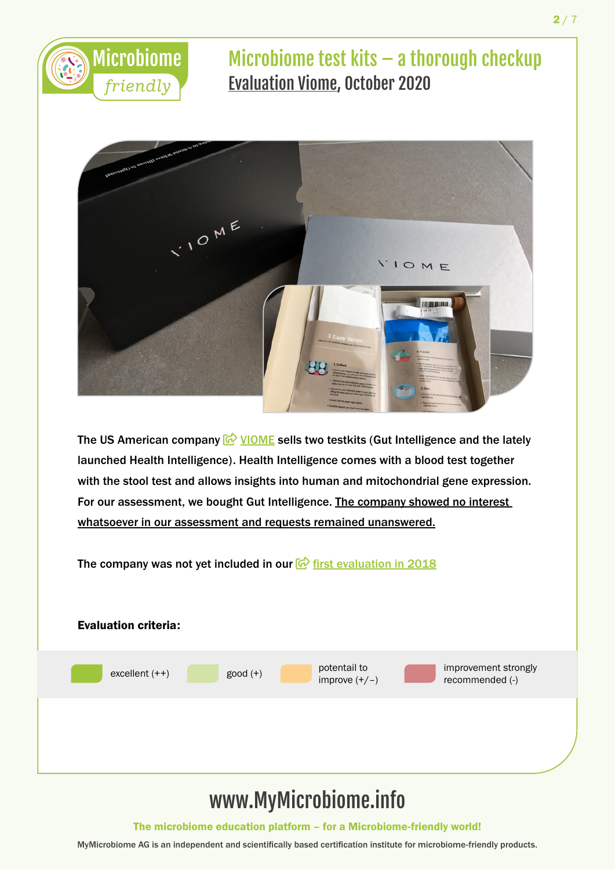



The US American company  $\bigcirc$  [VIOME](https://www.viome.com/) sells two testkits (Gut Intelligence and the lately launched Health Intelligence). Health Intelligence comes with a blood test together with the stool test and allows insights into human and mitochondrial gene expression. For our assessment, we bought Gut Intelligence. The company showed no interest whatsoever in our assessment and requests remained unanswered.

The company was not yet included in our  $\bigcirc$  [first evaluation in 2018](https://www.mymicrobiome.info/microbiome-test-kits.html)



The microbiome education platform – for a Microbiome-friendly world!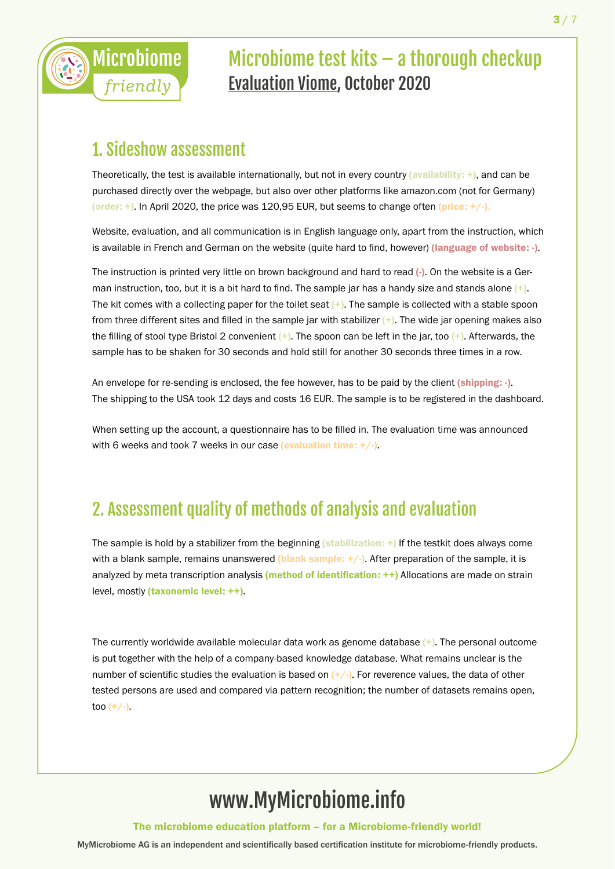

#### 1. Sideshow assessment

Theoretically, the test is available internationally, but not in every country (availability:  $+)$ , and can be purchased directly over the webpage, but also over other platforms like amazon.com (not for Germany) (order: +). In April 2020, the price was 120,95 EUR, but seems to change often (price:  $+/-$ ).

Website, evaluation, and all communication is in English language only, apart from the instruction, which is available in French and German on the website (quite hard to find, however) (language of website: -).

The instruction is printed very little on brown background and hard to read (-). On the website is a German instruction, too, but it is a bit hard to find. The sample jar has a handy size and stands alone  $(+)$ . The kit comes with a collecting paper for the toilet seat  $(+)$ . The sample is collected with a stable spoon from three different sites and filled in the sample jar with stabilizer  $(+)$ . The wide jar opening makes also the filling of stool type Bristol 2 convenient  $(+)$ . The spoon can be left in the jar, too  $(+)$ . Afterwards, the sample has to be shaken for 30 seconds and hold still for another 30 seconds three times in a row.

An envelope for re-sending is enclosed, the fee however, has to be paid by the client (shipping: -). The shipping to the USA took 12 days and costs 16 EUR. The sample is to be registered in the dashboard.

When setting up the account, a questionnaire has to be filled in. The evaluation time was announced with 6 weeks and took 7 weeks in our case (evaluation time:  $+/-$ ).

### 2. Assessment quality of methods of analysis and evaluation

The sample is hold by a stabilizer from the beginning (stabilization:  $+$ ) If the testkit does always come with a blank sample, remains unanswered (blank sample:  $+/-$ ). After preparation of the sample, it is analyzed by meta transcription analysis (method of identification: ++) Allocations are made on strain level, mostly (taxonomic level: ++).

The currently worldwide available molecular data work as genome database  $(+)$ . The personal outcome is put together with the help of a company-based knowledge database. What remains unclear is the number of scientific studies the evaluation is based on  $(+/-)$ . For reverence values, the data of other tested persons are used and compared via pattern recognition; the number of datasets remains open, too  $(+/-)$ .

# www.MyMicrobiome.info

The microbiome education platform – for a Microbiome-friendly world!

 $3/7$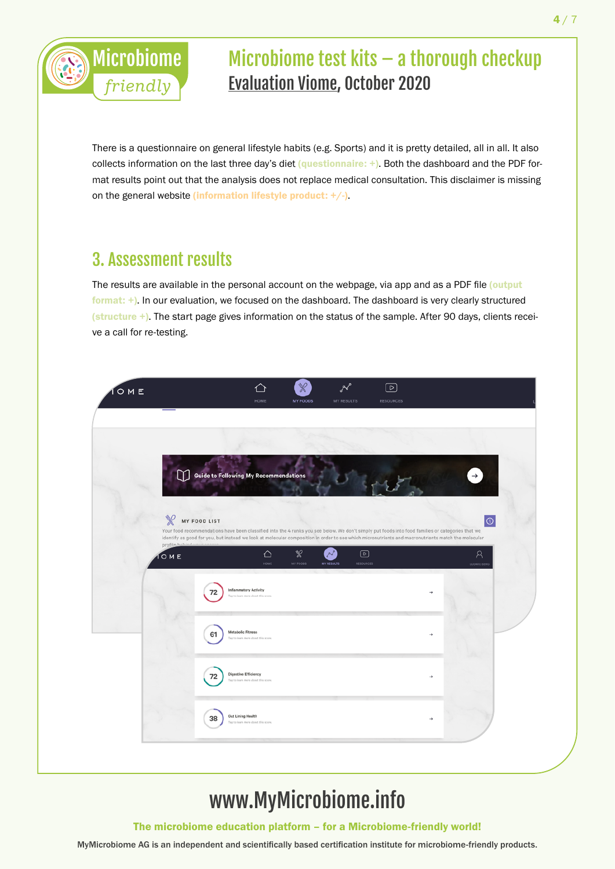

There is a questionnaire on general lifestyle habits (e.g. Sports) and it is pretty detailed, all in all. It also collects information on the last three day's diet (questionnaire: +). Both the dashboard and the PDF format results point out that the analysis does not replace medical consultation. This disclaimer is missing on the general website (information lifestyle product: +/-).

### 3. Assessment results

The results are available in the personal account on the webpage, via app and as a PDF file (output format: +). In our evaluation, we focused on the dashboard. The dashboard is very clearly structured (structure +). The start page gives information on the status of the sample. After 90 days, clients receive a call for re-testing.



# www.MyMicrobiome.info

The microbiome education platform – for a Microbiome-friendly world!

4 / 7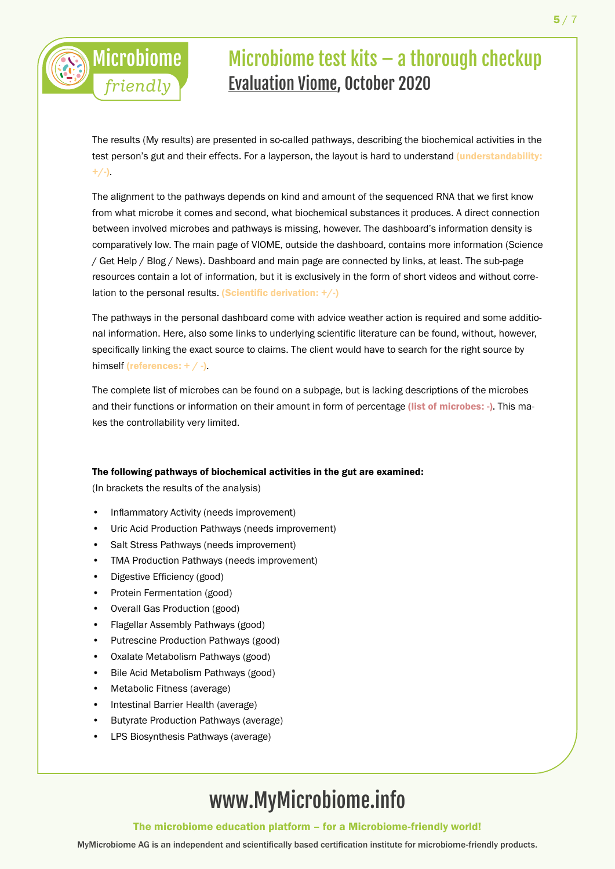The results (My results) are presented in so-called pathways, describing the biochemical activities in the test person's gut and their effects. For a layperson, the layout is hard to understand *(understandability:*  $+/-$ ).

The alignment to the pathways depends on kind and amount of the sequenced RNA that we first know from what microbe it comes and second, what biochemical substances it produces. A direct connection between involved microbes and pathways is missing, however. The dashboard's information density is comparatively low. The main page of VIOME, outside the dashboard, contains more information (Science / Get Help / Blog / News). Dashboard and main page are connected by links, at least. The sub-page resources contain a lot of information, but it is exclusively in the form of short videos and without correlation to the personal results. (Scientific derivation:  $+/-$ )

The pathways in the personal dashboard come with advice weather action is required and some additional information. Here, also some links to underlying scientific literature can be found, without, however, specifically linking the exact source to claims. The client would have to search for the right source by himself (references: + / -).

The complete list of microbes can be found on a subpage, but is lacking descriptions of the microbes and their functions or information on their amount in form of percentage (list of microbes: -). This makes the controllability very limited.

#### The following pathways of biochemical activities in the gut are examined:

(In brackets the results of the analysis)

Microbiome

*friendly*

- Inflammatory Activity (needs improvement)
- Uric Acid Production Pathways (needs improvement)
- Salt Stress Pathways (needs improvement)
- TMA Production Pathways (needs improvement)
- Digestive Efficiency (good)
- Protein Fermentation (good)
- Overall Gas Production (good)
- Flagellar Assembly Pathways (good)
- Putrescine Production Pathways (good)
- Oxalate Metabolism Pathways (good)
- Bile Acid Metabolism Pathways (good)
- Metabolic Fitness (average)
- Intestinal Barrier Health (average)
- Butyrate Production Pathways (average)
- LPS Biosynthesis Pathways (average)

# www.MyMicrobiome.info

The microbiome education platform – for a Microbiome-friendly world!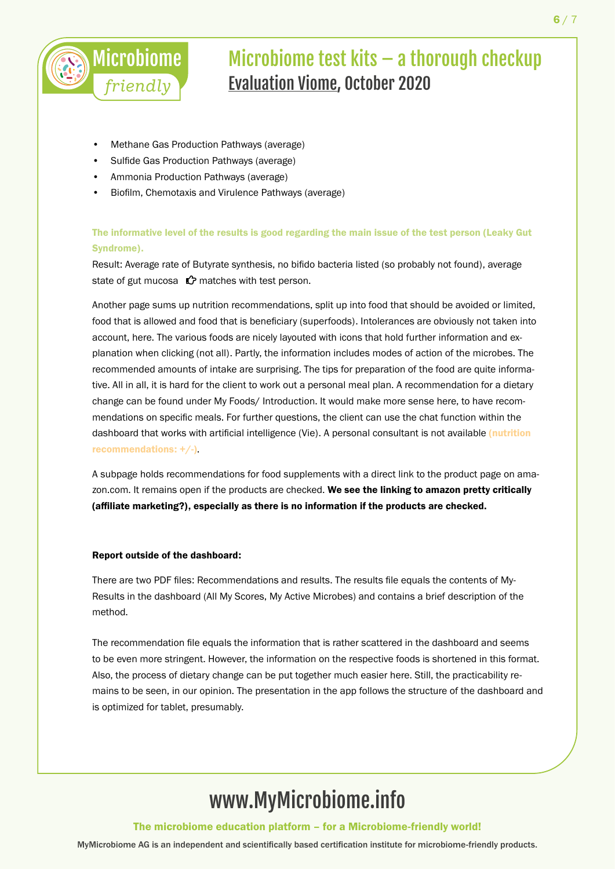

- Methane Gas Production Pathways (average)
- Sulfide Gas Production Pathways (average)
- Ammonia Production Pathways (average)
- Biofilm, Chemotaxis and Virulence Pathways (average)

#### The informative level of the results is good regarding the main issue of the test person (Leaky Gut Syndrome).

Result: Average rate of Butyrate synthesis, no bifido bacteria listed (so probably not found), average state of gut mucosa  $\mathbf{\hat{C}}$  matches with test person.

Another page sums up nutrition recommendations, split up into food that should be avoided or limited, food that is allowed and food that is beneficiary (superfoods). Intolerances are obviously not taken into account, here. The various foods are nicely layouted with icons that hold further information and explanation when clicking (not all). Partly, the information includes modes of action of the microbes. The recommended amounts of intake are surprising. The tips for preparation of the food are quite informative. All in all, it is hard for the client to work out a personal meal plan. A recommendation for a dietary change can be found under My Foods/ Introduction. It would make more sense here, to have recommendations on specific meals. For further questions, the client can use the chat function within the dashboard that works with artificial intelligence (Vie). A personal consultant is not available (nutrition recommendations: +/-).

A subpage holds recommendations for food supplements with a direct link to the product page on amazon.com. It remains open if the products are checked. We see the linking to amazon pretty critically (affiliate marketing?), especially as there is no information if the products are checked.

#### Report outside of the dashboard:

There are two PDF files: Recommendations and results. The results file equals the contents of My-Results in the dashboard (All My Scores, My Active Microbes) and contains a brief description of the method.

The recommendation file equals the information that is rather scattered in the dashboard and seems to be even more stringent. However, the information on the respective foods is shortened in this format. Also, the process of dietary change can be put together much easier here. Still, the practicability remains to be seen, in our opinion. The presentation in the app follows the structure of the dashboard and is optimized for tablet, presumably.

# www.MyMicrobiome.info

The microbiome education platform – for a Microbiome-friendly world!